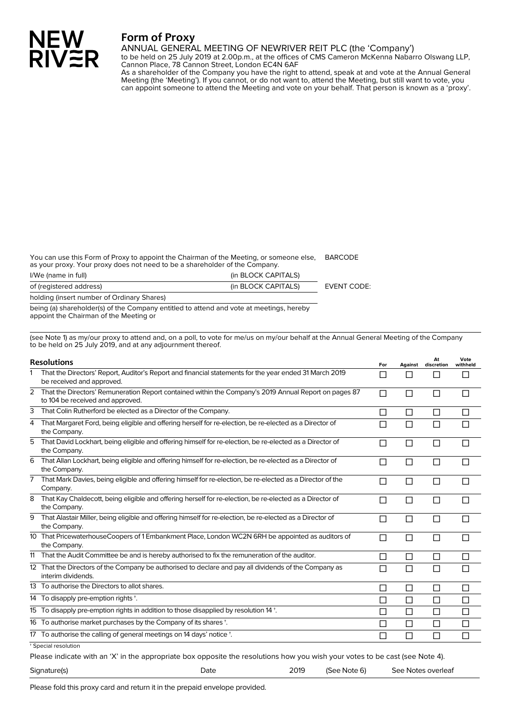## NEW<br>RIV≋R

## **Form of Proxy**

ANNUAL GENERAL MEETING OF NEWRIVER REIT PLC (the 'Company')

to be held on 25 July 2019 at 2.00p.m., at the offices of CMS Cameron McKenna Nabarro Olswang LLP, Cannon Place, 78 Cannon Street, London EC4N 6AF

As a shareholder of the Company you have the right to attend, speak at and vote at the Annual General Meeting (the 'Meeting'). If you cannot, or do not want to, attend the Meeting, but still want to vote, you can appoint someone to attend the Meeting and vote on your behalf. That person is known as a 'proxy'.

You can use this Form of Proxy to appoint the Chairman of the Meeting, or someone else, as your proxy. Your proxy does not need to be a shareholder of the Company. BARCODE

I/We (name in full)  $($ in BLOCK CAPITALS) of (registered address) (in BLOCK CAPITALS) EVENT CODE: holding (insert number of Ordinary Shares)

being (a) shareholder(s) of the Company entitled to attend and vote at meetings, hereby appoint the Chairman of the Meeting or

(see Note 1) as my/our proxy to attend and, on a poll, to vote for me/us on my/our behalf at the Annual General Meeting of the Company to be held on 25 July 2019, and at any adjournment thereof.

| <b>Resolutions</b> |                                                                                                                                             | For    | Against | At<br>discretion | Vote<br>withheld |
|--------------------|---------------------------------------------------------------------------------------------------------------------------------------------|--------|---------|------------------|------------------|
| $\mathbf{1}$       | That the Directors' Report, Auditor's Report and financial statements for the year ended 31 March 2019<br>be received and approved.         | П      | П       | П                | П                |
|                    | 2 That the Directors' Remuneration Report contained within the Company's 2019 Annual Report on pages 87<br>to 104 be received and approved. | П      | П       | П                | П                |
|                    | 3 That Colin Rutherford be elected as a Director of the Company.                                                                            | П      | П       | П                | П                |
|                    | 4 That Margaret Ford, being eligible and offering herself for re-election, be re-elected as a Director of<br>the Company.                   | $\Box$ | $\Box$  | $\Box$           | П                |
| 5                  | That David Lockhart, being eligible and offering himself for re-election, be re-elected as a Director of<br>the Company.                    | П      | П       | $\Box$           | П                |
| 6                  | That Allan Lockhart, being eligible and offering himself for re-election, be re-elected as a Director of<br>the Company.                    | П      | П       | П                | П                |
| $\overline{7}$     | That Mark Davies, being eligible and offering himself for re-election, be re-elected as a Director of the<br>Company.                       | П      | П       | П                | П                |
|                    | 8 That Kay Chaldecott, being eligible and offering herself for re-election, be re-elected as a Director of<br>the Company.                  | П      | П       | П                | П                |
| 9                  | That Alastair Miller, being eligible and offering himself for re-election, be re-elected as a Director of<br>the Company.                   | П      | П       | П                | П                |
|                    | 10 That PricewaterhouseCoopers of 1 Embankment Place, London WC2N 6RH be appointed as auditors of<br>the Company.                           | П      | П       | $\Box$           | П                |
|                    | 11 That the Audit Committee be and is hereby authorised to fix the remuneration of the auditor.                                             | П      | П       | П                | П                |
|                    | 12 That the Directors of the Company be authorised to declare and pay all dividends of the Company as<br>interim dividends.                 | П      | П       | П                | П                |
|                    | 13 To authorise the Directors to allot shares.                                                                                              | $\Box$ | $\Box$  | $\Box$           | $\Box$           |
|                    | 14 To disapply pre-emption rights +.                                                                                                        | $\Box$ | $\Box$  | □                | □                |
|                    | 15 To disapply pre-emption rights in addition to those disapplied by resolution 14 <sup>t</sup> .                                           | $\Box$ | П       | □                | $\Box$           |
|                    | 16 To authorise market purchases by the Company of its shares <sup>+</sup> .                                                                | П      | П       | П                | П                |
|                    | 17 To authorise the calling of general meetings on 14 days' notice <sup>+</sup> .                                                           | П      | П       | П                | П                |
|                    | <sup>†</sup> Special resolution                                                                                                             |        |         |                  |                  |

Please indicate with an 'X' in the appropriate box opposite the resolutions how you wish your votes to be cast (see Note 4).

Date 2019 (See Note 6) See Notes overleaf

Please fold this proxy card and return it in the prepaid envelope provided.